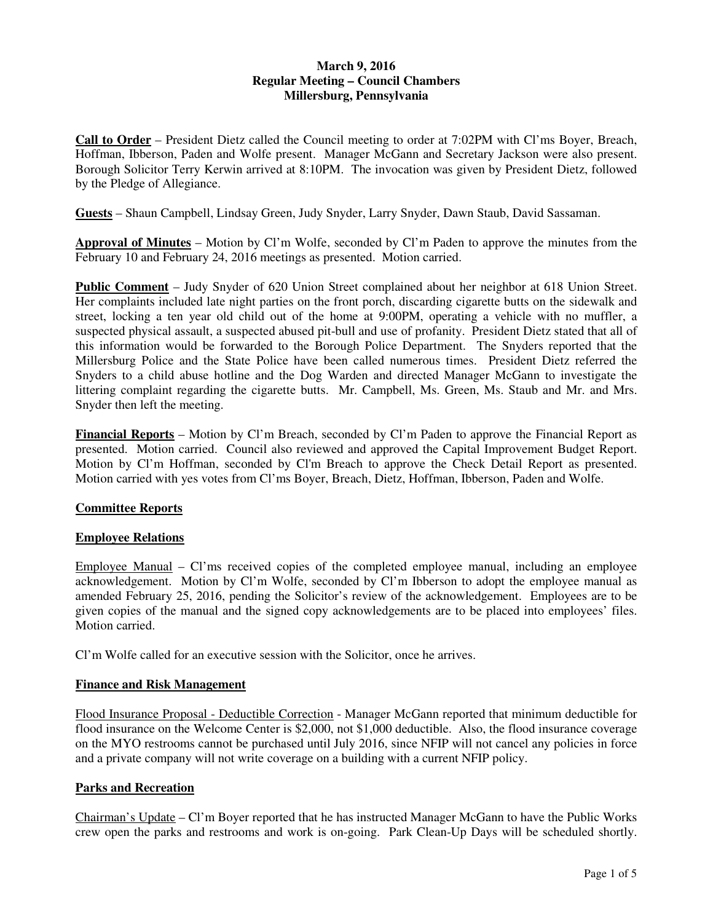# **March 9, 2016 Regular Meeting – Council Chambers Millersburg, Pennsylvania**

**Call to Order** – President Dietz called the Council meeting to order at 7:02PM with Cl'ms Boyer, Breach, Hoffman, Ibberson, Paden and Wolfe present. Manager McGann and Secretary Jackson were also present. Borough Solicitor Terry Kerwin arrived at 8:10PM. The invocation was given by President Dietz, followed by the Pledge of Allegiance.

**Guests** – Shaun Campbell, Lindsay Green, Judy Snyder, Larry Snyder, Dawn Staub, David Sassaman.

**Approval of Minutes** – Motion by Cl'm Wolfe, seconded by Cl'm Paden to approve the minutes from the February 10 and February 24, 2016 meetings as presented. Motion carried.

**Public Comment** – Judy Snyder of 620 Union Street complained about her neighbor at 618 Union Street. Her complaints included late night parties on the front porch, discarding cigarette butts on the sidewalk and street, locking a ten year old child out of the home at 9:00PM, operating a vehicle with no muffler, a suspected physical assault, a suspected abused pit-bull and use of profanity. President Dietz stated that all of this information would be forwarded to the Borough Police Department. The Snyders reported that the Millersburg Police and the State Police have been called numerous times. President Dietz referred the Snyders to a child abuse hotline and the Dog Warden and directed Manager McGann to investigate the littering complaint regarding the cigarette butts. Mr. Campbell, Ms. Green, Ms. Staub and Mr. and Mrs. Snyder then left the meeting.

**Financial Reports** – Motion by Cl'm Breach, seconded by Cl'm Paden to approve the Financial Report as presented. Motion carried. Council also reviewed and approved the Capital Improvement Budget Report. Motion by Cl'm Hoffman, seconded by Cl'm Breach to approve the Check Detail Report as presented. Motion carried with yes votes from Cl'ms Boyer, Breach, Dietz, Hoffman, Ibberson, Paden and Wolfe.

### **Committee Reports**

### **Employee Relations**

Employee Manual – Cl'ms received copies of the completed employee manual, including an employee acknowledgement. Motion by Cl'm Wolfe, seconded by Cl'm Ibberson to adopt the employee manual as amended February 25, 2016, pending the Solicitor's review of the acknowledgement. Employees are to be given copies of the manual and the signed copy acknowledgements are to be placed into employees' files. Motion carried.

Cl'm Wolfe called for an executive session with the Solicitor, once he arrives.

### **Finance and Risk Management**

Flood Insurance Proposal - Deductible Correction - Manager McGann reported that minimum deductible for flood insurance on the Welcome Center is \$2,000, not \$1,000 deductible. Also, the flood insurance coverage on the MYO restrooms cannot be purchased until July 2016, since NFIP will not cancel any policies in force and a private company will not write coverage on a building with a current NFIP policy.

## **Parks and Recreation**

Chairman's Update – Cl'm Boyer reported that he has instructed Manager McGann to have the Public Works crew open the parks and restrooms and work is on-going. Park Clean-Up Days will be scheduled shortly.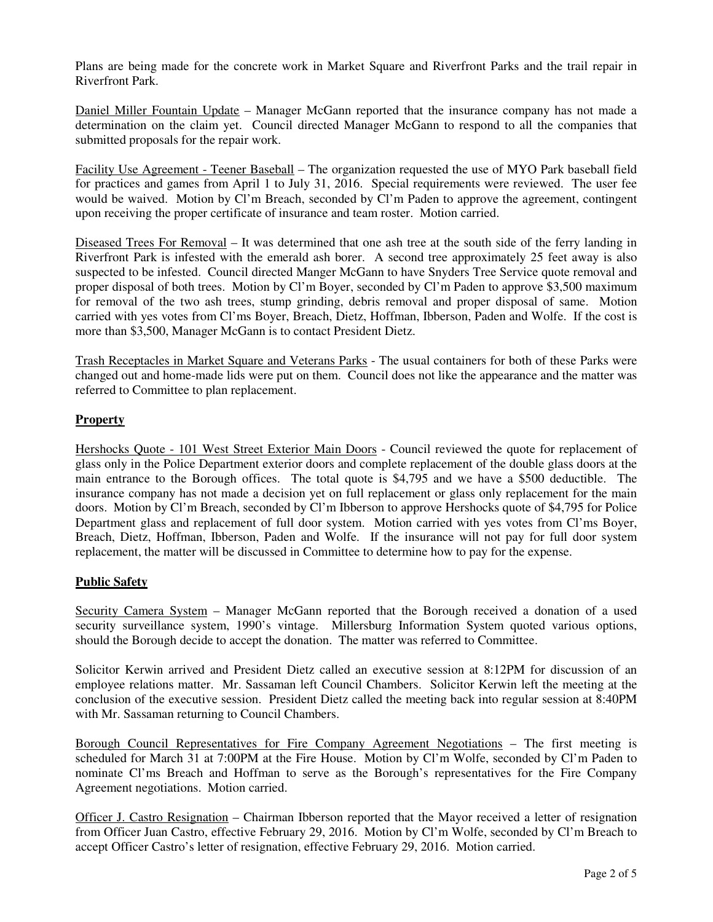Plans are being made for the concrete work in Market Square and Riverfront Parks and the trail repair in Riverfront Park.

Daniel Miller Fountain Update – Manager McGann reported that the insurance company has not made a determination on the claim yet. Council directed Manager McGann to respond to all the companies that submitted proposals for the repair work.

Facility Use Agreement - Teener Baseball – The organization requested the use of MYO Park baseball field for practices and games from April 1 to July 31, 2016. Special requirements were reviewed. The user fee would be waived. Motion by Cl'm Breach, seconded by Cl'm Paden to approve the agreement, contingent upon receiving the proper certificate of insurance and team roster. Motion carried.

Diseased Trees For Removal – It was determined that one ash tree at the south side of the ferry landing in Riverfront Park is infested with the emerald ash borer. A second tree approximately 25 feet away is also suspected to be infested. Council directed Manger McGann to have Snyders Tree Service quote removal and proper disposal of both trees. Motion by Cl'm Boyer, seconded by Cl'm Paden to approve \$3,500 maximum for removal of the two ash trees, stump grinding, debris removal and proper disposal of same. Motion carried with yes votes from Cl'ms Boyer, Breach, Dietz, Hoffman, Ibberson, Paden and Wolfe. If the cost is more than \$3,500, Manager McGann is to contact President Dietz.

Trash Receptacles in Market Square and Veterans Parks - The usual containers for both of these Parks were changed out and home-made lids were put on them. Council does not like the appearance and the matter was referred to Committee to plan replacement.

### **Property**

Hershocks Quote - 101 West Street Exterior Main Doors - Council reviewed the quote for replacement of glass only in the Police Department exterior doors and complete replacement of the double glass doors at the main entrance to the Borough offices. The total quote is \$4,795 and we have a \$500 deductible. The insurance company has not made a decision yet on full replacement or glass only replacement for the main doors. Motion by Cl'm Breach, seconded by Cl'm Ibberson to approve Hershocks quote of \$4,795 for Police Department glass and replacement of full door system. Motion carried with yes votes from Cl'ms Boyer, Breach, Dietz, Hoffman, Ibberson, Paden and Wolfe. If the insurance will not pay for full door system replacement, the matter will be discussed in Committee to determine how to pay for the expense.

### **Public Safety**

Security Camera System – Manager McGann reported that the Borough received a donation of a used security surveillance system, 1990's vintage. Millersburg Information System quoted various options, should the Borough decide to accept the donation. The matter was referred to Committee.

Solicitor Kerwin arrived and President Dietz called an executive session at 8:12PM for discussion of an employee relations matter. Mr. Sassaman left Council Chambers. Solicitor Kerwin left the meeting at the conclusion of the executive session. President Dietz called the meeting back into regular session at 8:40PM with Mr. Sassaman returning to Council Chambers.

Borough Council Representatives for Fire Company Agreement Negotiations – The first meeting is scheduled for March 31 at 7:00PM at the Fire House. Motion by Cl'm Wolfe, seconded by Cl'm Paden to nominate Cl'ms Breach and Hoffman to serve as the Borough's representatives for the Fire Company Agreement negotiations. Motion carried.

Officer J. Castro Resignation – Chairman Ibberson reported that the Mayor received a letter of resignation from Officer Juan Castro, effective February 29, 2016. Motion by Cl'm Wolfe, seconded by Cl'm Breach to accept Officer Castro's letter of resignation, effective February 29, 2016. Motion carried.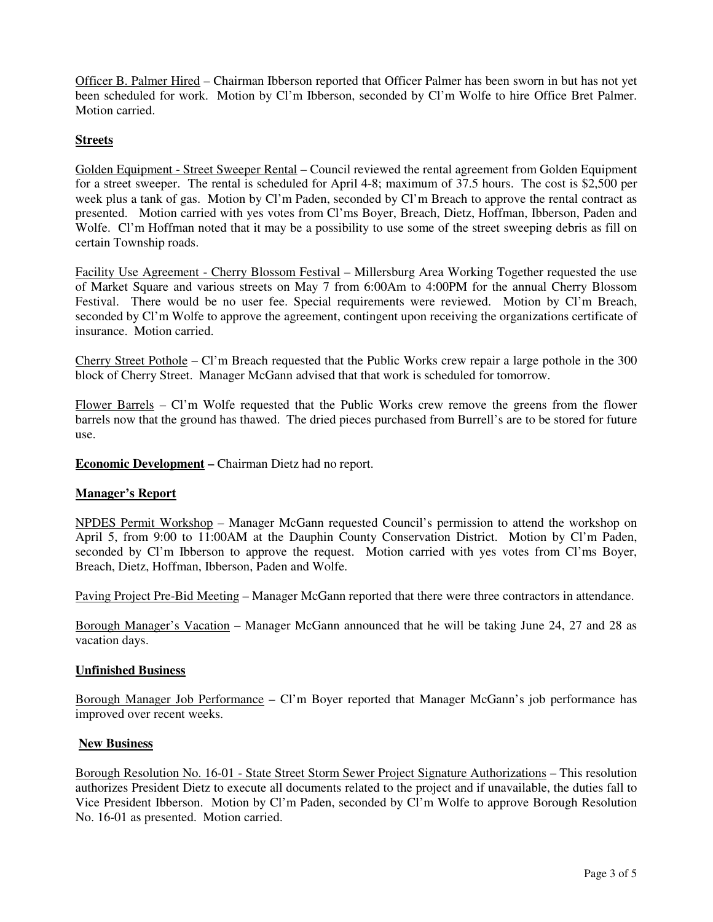Officer B. Palmer Hired – Chairman Ibberson reported that Officer Palmer has been sworn in but has not yet been scheduled for work. Motion by Cl'm Ibberson, seconded by Cl'm Wolfe to hire Office Bret Palmer. Motion carried.

# **Streets**

Golden Equipment - Street Sweeper Rental – Council reviewed the rental agreement from Golden Equipment for a street sweeper. The rental is scheduled for April 4-8; maximum of 37.5 hours. The cost is \$2,500 per week plus a tank of gas. Motion by Cl'm Paden, seconded by Cl'm Breach to approve the rental contract as presented. Motion carried with yes votes from Cl'ms Boyer, Breach, Dietz, Hoffman, Ibberson, Paden and Wolfe. Cl'm Hoffman noted that it may be a possibility to use some of the street sweeping debris as fill on certain Township roads.

Facility Use Agreement - Cherry Blossom Festival – Millersburg Area Working Together requested the use of Market Square and various streets on May 7 from 6:00Am to 4:00PM for the annual Cherry Blossom Festival. There would be no user fee. Special requirements were reviewed. Motion by Cl'm Breach, seconded by Cl'm Wolfe to approve the agreement, contingent upon receiving the organizations certificate of insurance. Motion carried.

Cherry Street Pothole – Cl'm Breach requested that the Public Works crew repair a large pothole in the  $300$ block of Cherry Street. Manager McGann advised that that work is scheduled for tomorrow.

Flower Barrels – Cl'm Wolfe requested that the Public Works crew remove the greens from the flower barrels now that the ground has thawed. The dried pieces purchased from Burrell's are to be stored for future use.

**Economic Development –** Chairman Dietz had no report.

### **Manager's Report**

NPDES Permit Workshop – Manager McGann requested Council's permission to attend the workshop on April 5, from 9:00 to 11:00AM at the Dauphin County Conservation District. Motion by Cl'm Paden, seconded by Cl'm Ibberson to approve the request. Motion carried with yes votes from Cl'ms Boyer, Breach, Dietz, Hoffman, Ibberson, Paden and Wolfe.

Paving Project Pre-Bid Meeting – Manager McGann reported that there were three contractors in attendance.

Borough Manager's Vacation – Manager McGann announced that he will be taking June 24, 27 and 28 as vacation days.

#### **Unfinished Business**

Borough Manager Job Performance – Cl'm Boyer reported that Manager McGann's job performance has improved over recent weeks.

### **New Business**

Borough Resolution No. 16-01 - State Street Storm Sewer Project Signature Authorizations – This resolution authorizes President Dietz to execute all documents related to the project and if unavailable, the duties fall to Vice President Ibberson. Motion by Cl'm Paden, seconded by Cl'm Wolfe to approve Borough Resolution No. 16-01 as presented. Motion carried.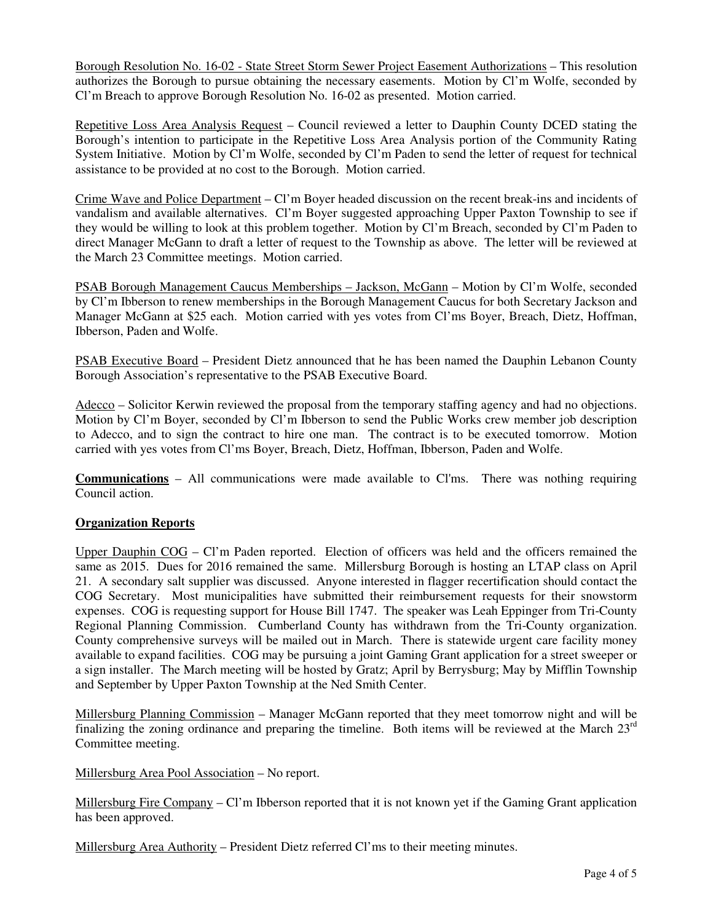Borough Resolution No. 16-02 - State Street Storm Sewer Project Easement Authorizations – This resolution authorizes the Borough to pursue obtaining the necessary easements. Motion by Cl'm Wolfe, seconded by Cl'm Breach to approve Borough Resolution No. 16-02 as presented. Motion carried.

Repetitive Loss Area Analysis Request – Council reviewed a letter to Dauphin County DCED stating the Borough's intention to participate in the Repetitive Loss Area Analysis portion of the Community Rating System Initiative. Motion by Cl'm Wolfe, seconded by Cl'm Paden to send the letter of request for technical assistance to be provided at no cost to the Borough. Motion carried.

Crime Wave and Police Department – Cl'm Boyer headed discussion on the recent break-ins and incidents of vandalism and available alternatives. Cl'm Boyer suggested approaching Upper Paxton Township to see if they would be willing to look at this problem together. Motion by Cl'm Breach, seconded by Cl'm Paden to direct Manager McGann to draft a letter of request to the Township as above. The letter will be reviewed at the March 23 Committee meetings. Motion carried.

PSAB Borough Management Caucus Memberships – Jackson, McGann – Motion by Cl'm Wolfe, seconded by Cl'm Ibberson to renew memberships in the Borough Management Caucus for both Secretary Jackson and Manager McGann at \$25 each. Motion carried with yes votes from Cl'ms Boyer, Breach, Dietz, Hoffman, Ibberson, Paden and Wolfe.

PSAB Executive Board – President Dietz announced that he has been named the Dauphin Lebanon County Borough Association's representative to the PSAB Executive Board.

Adecco – Solicitor Kerwin reviewed the proposal from the temporary staffing agency and had no objections. Motion by Cl'm Boyer, seconded by Cl'm Ibberson to send the Public Works crew member job description to Adecco, and to sign the contract to hire one man. The contract is to be executed tomorrow. Motion carried with yes votes from Cl'ms Boyer, Breach, Dietz, Hoffman, Ibberson, Paden and Wolfe.

**Communications** – All communications were made available to Cl'ms. There was nothing requiring Council action.

### **Organization Reports**

Upper Dauphin COG – Cl'm Paden reported. Election of officers was held and the officers remained the same as 2015. Dues for 2016 remained the same. Millersburg Borough is hosting an LTAP class on April 21. A secondary salt supplier was discussed. Anyone interested in flagger recertification should contact the COG Secretary. Most municipalities have submitted their reimbursement requests for their snowstorm expenses. COG is requesting support for House Bill 1747. The speaker was Leah Eppinger from Tri-County Regional Planning Commission. Cumberland County has withdrawn from the Tri-County organization. County comprehensive surveys will be mailed out in March. There is statewide urgent care facility money available to expand facilities. COG may be pursuing a joint Gaming Grant application for a street sweeper or a sign installer. The March meeting will be hosted by Gratz; April by Berrysburg; May by Mifflin Township and September by Upper Paxton Township at the Ned Smith Center.

Millersburg Planning Commission – Manager McGann reported that they meet tomorrow night and will be finalizing the zoning ordinance and preparing the timeline. Both items will be reviewed at the March  $23<sup>rd</sup>$ Committee meeting.

Millersburg Area Pool Association – No report.

Millersburg Fire Company – Cl'm Ibberson reported that it is not known yet if the Gaming Grant application has been approved.

Millersburg Area Authority – President Dietz referred Cl'ms to their meeting minutes.